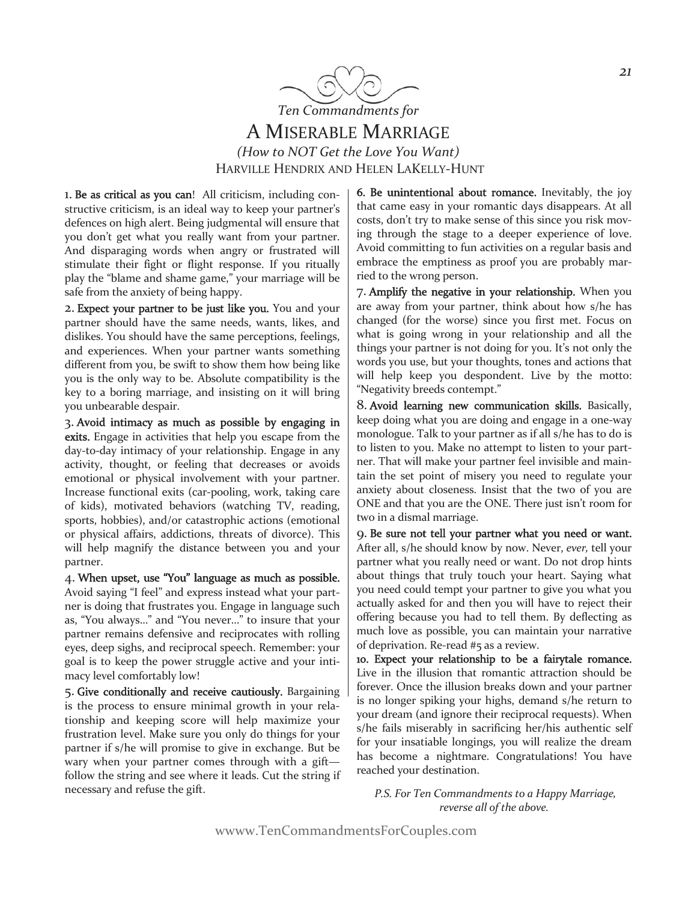

## A MISERABLE MARRIAGE

*(How to NOT Get the Love You Want)*  HARVILLE HENDRIX AND HELEN LAKELLY-HUNT

1. Be as critical as you can! All criticism, including constructive criticism, is an ideal way to keep your partner's defences on high alert. Being judgmental will ensure that you don't get what you really want from your partner. And disparaging words when angry or frustrated will stimulate their fight or flight response. If you ritually play the "blame and shame game," your marriage will be safe from the anxiety of being happy.

2. Expect your partner to be just like you. You and your partner should have the same needs, wants, likes, and dislikes. You should have the same perceptions, feelings, and experiences. When your partner wants something different from you, be swift to show them how being like you is the only way to be. Absolute compatibility is the key to a boring marriage, and insisting on it will bring you unbearable despair.

3. Avoid intimacy as much as possible by engaging in exits. Engage in activities that help you escape from the day-to-day intimacy of your relationship. Engage in any activity, thought, or feeling that decreases or avoids emotional or physical involvement with your partner. Increase functional exits (car-pooling, work, taking care of kids), motivated behaviors (watching TV, reading, sports, hobbies), and/or catastrophic actions (emotional or physical affairs, addictions, threats of divorce). This will help magnify the distance between you and your partner.

4. When upset, use "You" language as much as possible. Avoid saying "I feel" and express instead what your partner is doing that frustrates you. Engage in language such as, "You always…" and "You never…" to insure that your partner remains defensive and reciprocates with rolling eyes, deep sighs, and reciprocal speech. Remember: your goal is to keep the power struggle active and your intimacy level comfortably low!

5. Give conditionally and receive cautiously. Bargaining is the process to ensure minimal growth in your relationship and keeping score will help maximize your frustration level. Make sure you only do things for your partner if s/he will promise to give in exchange. But be wary when your partner comes through with a gift follow the string and see where it leads. Cut the string if necessary and refuse the gift.

6. Be unintentional about romance. Inevitably, the joy that came easy in your romantic days disappears. At all costs, don't try to make sense of this since you risk moving through the stage to a deeper experience of love. Avoid committing to fun activities on a regular basis and embrace the emptiness as proof you are probably married to the wrong person.

7. Amplify the negative in your relationship. When you are away from your partner, think about how s/he has changed (for the worse) since you first met. Focus on what is going wrong in your relationship and all the things your partner is not doing for you. It's not only the words you use, but your thoughts, tones and actions that will help keep you despondent. Live by the motto: "Negativity breeds contempt."

8. Avoid learning new communication skills. Basically, keep doing what you are doing and engage in a one-way monologue. Talk to your partner as if all s/he has to do is to listen to you. Make no attempt to listen to your partner. That will make your partner feel invisible and maintain the set point of misery you need to regulate your anxiety about closeness. Insist that the two of you are ONE and that you are the ONE. There just isn't room for two in a dismal marriage.

9. Be sure not tell your partner what you need or want. After all, s/he should know by now. Never, *ever,* tell your partner what you really need or want. Do not drop hints about things that truly touch your heart. Saying what you need could tempt your partner to give you what you actually asked for and then you will have to reject their offering because you had to tell them. By deflecting as much love as possible, you can maintain your narrative of deprivation. Re-read #5 as a review.

10. Expect your relationship to be a fairytale romance. Live in the illusion that romantic attraction should be forever. Once the illusion breaks down and your partner is no longer spiking your highs, demand s/he return to your dream (and ignore their reciprocal requests). When s/he fails miserably in sacrificing her/his authentic self for your insatiable longings, you will realize the dream has become a nightmare. Congratulations! You have reached your destination.

 *P.S. For Ten Commandments to a Happy Marriage, reverse all of the above.* 

wwww.TenCommandmentsForCouples.com